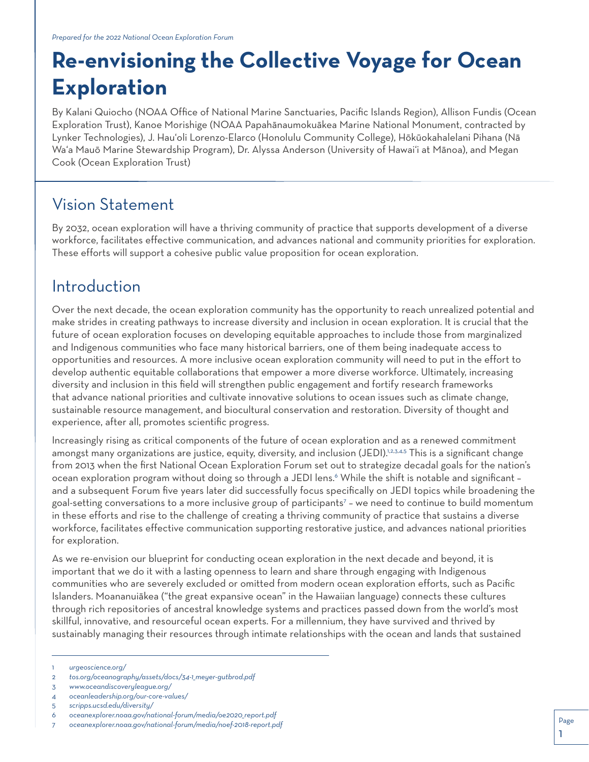# **Re-envisioning the Collective Voyage for Ocean Exploration**

By Kalani Quiocho (NOAA Office of National Marine Sanctuaries, Pacific Islands Region), Allison Fundis (Ocean Exploration Trust), Kanoe Morishige (NOAA Papahänaumokuäkea Marine National Monument, contracted by Lynker Technologies), J. Hau'oli Lorenzo-Elarco (Honolulu Community College), Hōkūokahalelani Pihana (Nā Wa'a Mauō Marine Stewardship Program), Dr. Alyssa Anderson (University of Hawai'i at Mānoa), and Megan Cook (Ocean Exploration Trust)

#### Vision Statement

By 2032, ocean exploration will have a thriving community of practice that supports development of a diverse workforce, facilitates effective communication, and advances national and community priorities for exploration. These efforts will support a cohesive public value proposition for ocean exploration.

#### Introduction

Over the next decade, the ocean exploration community has the opportunity to reach unrealized potential and make strides in creating pathways to increase diversity and inclusion in ocean exploration. It is crucial that the future of ocean exploration focuses on developing equitable approaches to include those from marginalized and Indigenous communities who face many historical barriers, one of them being inadequate access to opportunities and resources. A more inclusive ocean exploration community will need to put in the effort to develop authentic equitable collaborations that empower a more diverse workforce. Ultimately, increasing diversity and inclusion in this field will strengthen public engagement and fortify research frameworks that advance national priorities and cultivate innovative solutions to ocean issues such as climate change, sustainable resource management, and biocultural conservation and restoration. Diversity of thought and experience, after all, promotes scientific progress.

Increasingly rising as critical components of the future of ocean exploration and as a renewed commitment amongst many organizations are justice, equity, diversity, and inclusion (JEDI).12,3,4,5 This is a significant change from 2013 when the first National Ocean Exploration Forum set out to strategize decadal goals for the nation's ocean exploration program without doing so through a JEDI lens.<sup>6</sup> While the shift is notable and significant and a subsequent Forum five years later did successfully focus specifically on JEDI topics while broadening the goal-setting conversations to a more inclusive group of participants7 – we need to continue to build momentum in these efforts and rise to the challenge of creating a thriving community of practice that sustains a diverse workforce, facilitates effective communication supporting restorative justice, and advances national priorities for exploration.

As we re-envision our blueprint for conducting ocean exploration in the next decade and beyond, it is important that we do it with a lasting openness to learn and share through engaging with Indigenous communities who are severely excluded or omitted from modern ocean exploration efforts, such as Pacific Islanders. Moananuiäkea ("the great expansive ocean" in the Hawaiian language) connects these cultures through rich repositories of ancestral knowledge systems and practices passed down from the world's most skillful, innovative, and resourceful ocean experts. For a millennium, they have survived and thrived by sustainably managing their resources through intimate relationships with the ocean and lands that sustained

<sup>1</sup> *[urgeoscience.org/](http://urgeoscience.org/)*

<sup>2</sup> *[tos.org/oceanography/assets/docs/34-1\\_meyer-gutbrod.pdf](http://tos.org/oceanography/assets/docs/34-1_meyer-gutbrod.pdf)*

<sup>3</sup> *[www.oceandiscoveryleague.org/](http://www.oceandiscoveryleague.org/)*

<sup>4</sup> *[oceanleadership.org/our-core-values/](http://oceanleadership.org/our-core-values/)*

<sup>5</sup> *[scripps.ucsd.edu/diversity/](http://scripps.ucsd.edu/diversity/)*

<sup>6</sup> *[oceanexplorer.noaa.gov/national-forum/media/oe2020\\_report.pdf](http://oceanexplorer.noaa.gov/national-forum/media/oe2020_report.pdf )* 

<sup>7</sup> *[oceanexplorer.noaa.gov/national-forum/media/noef-2018-report.pdf](http://oceanexplorer.noaa.gov/national-forum/media/noef-2018-report.pdf )*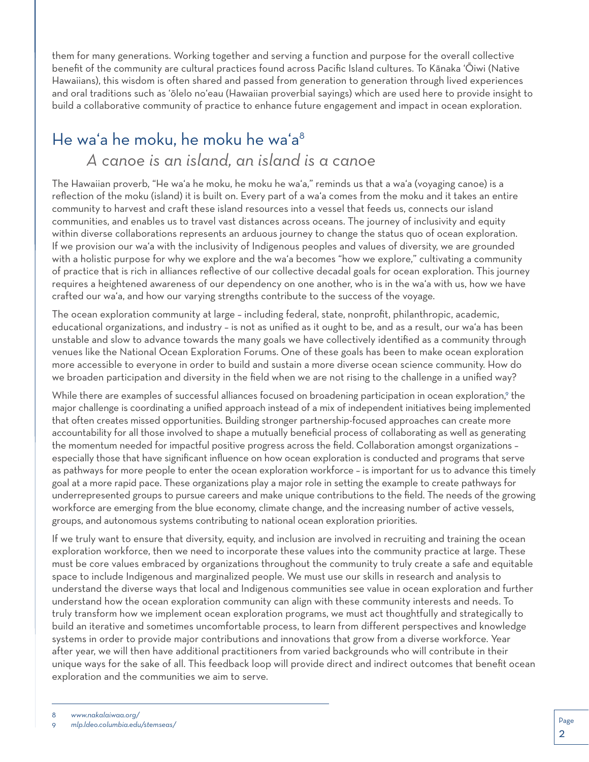them for many generations. Working together and serving a function and purpose for the overall collective benefit of the community are cultural practices found across Pacific Island cultures. To Känaka ©Öiwi (Native Hawaiians), this wisdom is often shared and passed from generation to generation through lived experiences and oral traditions such as 'ōlelo no'eau (Hawaiian proverbial sayings) which are used here to provide insight to build a collaborative community of practice to enhance future engagement and impact in ocean exploration.

#### He wa'a he moku, he moku he wa'a<sup>8</sup> *A canoe is an island, an island is a canoe*

The Hawaiian proverb, "He wa'a he moku, he moku he wa'a," reminds us that a wa'a (voyaging canoe) is a reflection of the moku (island) it is built on. Every part of a wa'a comes from the moku and it takes an entire community to harvest and craft these island resources into a vessel that feeds us, connects our island communities, and enables us to travel vast distances across oceans. The journey of inclusivity and equity within diverse collaborations represents an arduous journey to change the status quo of ocean exploration. If we provision our wa'a with the inclusivity of Indigenous peoples and values of diversity, we are grounded with a holistic purpose for why we explore and the wa'a becomes "how we explore," cultivating a community of practice that is rich in alliances reflective of our collective decadal goals for ocean exploration. This journey requires a heightened awareness of our dependency on one another, who is in the wa'a with us, how we have crafted our wa'a, and how our varying strengths contribute to the success of the voyage.

The ocean exploration community at large – including federal, state, nonprofit, philanthropic, academic, educational organizations, and industry – is not as unified as it ought to be, and as a result, our wa'a has been unstable and slow to advance towards the many goals we have collectively identified as a community through venues like the National Ocean Exploration Forums. One of these goals has been to make ocean exploration more accessible to everyone in order to build and sustain a more diverse ocean science community. How do we broaden participation and diversity in the field when we are not rising to the challenge in a unified way?

While there are examples of successful alliances focused on broadening participation in ocean exploration,<sup>9</sup> the major challenge is coordinating a unified approach instead of a mix of independent initiatives being implemented that often creates missed opportunities. Building stronger partnership-focused approaches can create more accountability for all those involved to shape a mutually beneficial process of collaborating as well as generating the momentum needed for impactful positive progress across the field. Collaboration amongst organizations – especially those that have significant influence on how ocean exploration is conducted and programs that serve as pathways for more people to enter the ocean exploration workforce – is important for us to advance this timely goal at a more rapid pace. These organizations play a major role in setting the example to create pathways for underrepresented groups to pursue careers and make unique contributions to the field. The needs of the growing workforce are emerging from the blue economy, climate change, and the increasing number of active vessels, groups, and autonomous systems contributing to national ocean exploration priorities.

If we truly want to ensure that diversity, equity, and inclusion are involved in recruiting and training the ocean exploration workforce, then we need to incorporate these values into the community practice at large. These must be core values embraced by organizations throughout the community to truly create a safe and equitable space to include Indigenous and marginalized people. We must use our skills in research and analysis to understand the diverse ways that local and Indigenous communities see value in ocean exploration and further understand how the ocean exploration community can align with these community interests and needs. To truly transform how we implement ocean exploration programs, we must act thoughtfully and strategically to build an iterative and sometimes uncomfortable process, to learn from different perspectives and knowledge systems in order to provide major contributions and innovations that grow from a diverse workforce. Year after year, we will then have additional practitioners from varied backgrounds who will contribute in their unique ways for the sake of all. This feedback loop will provide direct and indirect outcomes that benefit ocean exploration and the communities we aim to serve.

<sup>8</sup> *[www.nakalaiwaa.org/](http://www.nakalaiwaa.org/)*

<sup>9</sup> *[mlp.ldeo.columbia.edu/stemseas/](http://mlp.ldeo.columbia.edu/stemseas/)*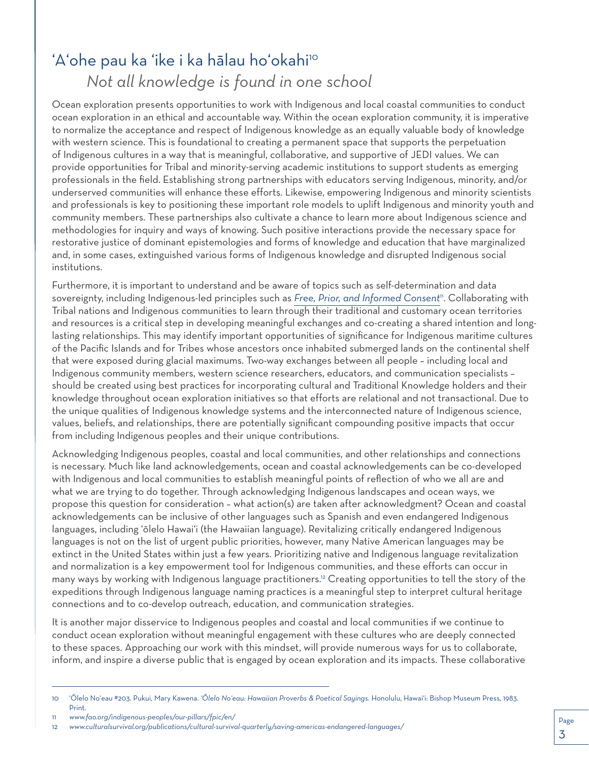# 'A'ohe pau ka 'ike i ka hālau ho'okahi<sup>10</sup> *Not all knowledge is found in one school*

Ocean exploration presents opportunities to work with Indigenous and local coastal communities to conduct ocean exploration in an ethical and accountable way. Within the ocean exploration community, it is imperative to normalize the acceptance and respect of Indigenous knowledge as an equally valuable body of knowledge with western science. This is foundational to creating a permanent space that supports the perpetuation of Indigenous cultures in a way that is meaningful, collaborative, and supportive of JEDI values. We can provide opportunities for Tribal and minority-serving academic institutions to support students as emerging professionals in the field. Establishing strong partnerships with educators serving Indigenous, minority, and/or underserved communities will enhance these efforts. Likewise, empowering Indigenous and minority scientists and professionals is key to positioning these important role models to uplift Indigenous and minority youth and community members. These partnerships also cultivate a chance to learn more about Indigenous science and methodologies for inquiry and ways of knowing. Such positive interactions provide the necessary space for restorative justice of dominant epistemologies and forms of knowledge and education that have marginalized and, in some cases, extinguished various forms of Indigenous knowledge and disrupted Indigenous social institutions.

Furthermore, it is important to understand and be aware of topics such as self-determination and data sovereignty, including Indigenous-led principles such as *[Free, Prior, and Informed Consent](https://www.fao.org/indigenous-peoples/our-pillars/fpic/en/)*11. Collaborating with Tribal nations and Indigenous communities to learn through their traditional and customary ocean territories and resources is a critical step in developing meaningful exchanges and co-creating a shared intention and longlasting relationships. This may identify important opportunities of significance for Indigenous maritime cultures of the Pacific Islands and for Tribes whose ancestors once inhabited submerged lands on the continental shelf that were exposed during glacial maximums. Two-way exchanges between all people – including local and Indigenous community members, western science researchers, educators, and communication specialists – should be created using best practices for incorporating cultural and Traditional Knowledge holders and their knowledge throughout ocean exploration initiatives so that efforts are relational and not transactional. Due to the unique qualities of Indigenous knowledge systems and the interconnected nature of Indigenous science, values, beliefs, and relationships, there are potentially significant compounding positive impacts that occur from including Indigenous peoples and their unique contributions.

Acknowledging Indigenous peoples, coastal and local communities, and other relationships and connections is necessary. Much like land acknowledgements, ocean and coastal acknowledgements can be co-developed with Indigenous and local communities to establish meaningful points of reflection of who we all are and what we are trying to do together. Through acknowledging Indigenous landscapes and ocean ways, we propose this question for consideration – what action(s) are taken after acknowledgment? Ocean and coastal acknowledgements can be inclusive of other languages such as Spanish and even endangered Indigenous languages, including 'ōlelo Hawai'i (the Hawaiian language). Revitalizing critically endangered Indigenous languages is not on the list of urgent public priorities, however, many Native American languages may be extinct in the United States within just a few years. Prioritizing native and Indigenous language revitalization and normalization is a key empowerment tool for Indigenous communities, and these efforts can occur in many ways by working with Indigenous language practitioners.12 Creating opportunities to tell the story of the expeditions through Indigenous language naming practices is a meaningful step to interpret cultural heritage connections and to co-develop outreach, education, and communication strategies.

It is another major disservice to Indigenous peoples and coastal and local communities if we continue to conduct ocean exploration without meaningful engagement with these cultures who are deeply connected to these spaces. Approaching our work with this mindset, will provide numerous ways for us to collaborate, inform, and inspire a diverse public that is engaged by ocean exploration and its impacts. These collaborative

11 *[www.fao.org/indigenous-peoples/our-pillars/fpic/en/](http://www.fao.org/indigenous-peoples/our-pillars/fpic/en/)*

<sup>10 &</sup>lt;sup>'</sup>Õlelo Noʻeau #203. Pukui, Mary Kawena. 'Õlelo Noʻeau: Hawaiian Proverbs & Poetical Sayings. Honolulu, Hawaiʻi: Bishop Museum Press, 1983. Print.

<sup>12</sup> *[www.culturalsurvival.org/publications/cultural-survival-quarterly/saving-americas-endangered-languages/](https://www.culturalsurvival.org/publications/cultural-survival-quarterly/saving-americas-endangered-languages)*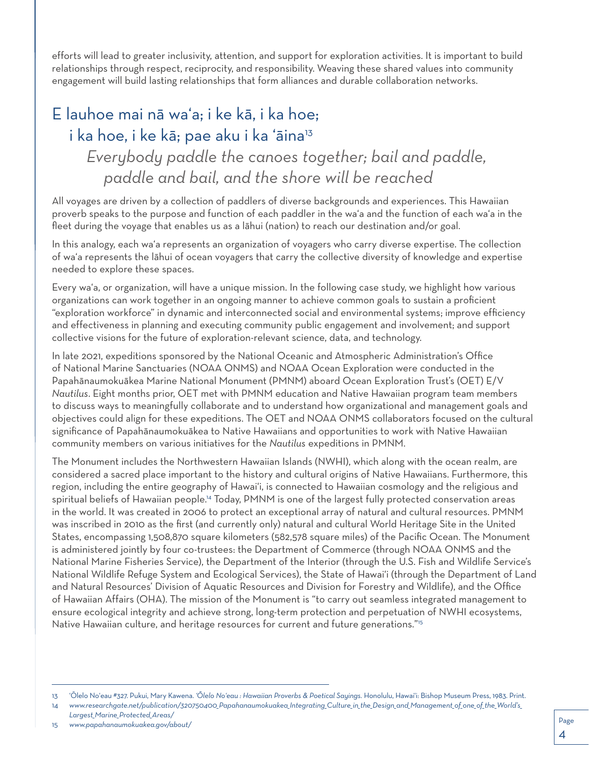efforts will lead to greater inclusivity, attention, and support for exploration activities. It is important to build relationships through respect, reciprocity, and responsibility. Weaving these shared values into community engagement will build lasting relationships that form alliances and durable collaboration networks.

### E lauhoe mai nā wa'a; i ke kā, i ka hoe; i ka hoe, i ke kā; pae aku i ka 'āina<sup>13</sup>

# *Everybody paddle the canoes together; bail and paddle, paddle and bail, and the shore will be reached*

All voyages are driven by a collection of paddlers of diverse backgrounds and experiences. This Hawaiian proverb speaks to the purpose and function of each paddler in the wa'a and the function of each wa'a in the fleet during the voyage that enables us as a lähui (nation) to reach our destination and/or goal.

In this analogy, each wa'a represents an organization of voyagers who carry diverse expertise. The collection of wa'a represents the lāhui of ocean voyagers that carry the collective diversity of knowledge and expertise needed to explore these spaces.

Every wa'a, or organization, will have a unique mission. In the following case study, we highlight how various organizations can work together in an ongoing manner to achieve common goals to sustain a proficient "exploration workforce" in dynamic and interconnected social and environmental systems; improve efficiency and effectiveness in planning and executing community public engagement and involvement; and support collective visions for the future of exploration-relevant science, data, and technology.

In late 2021, expeditions sponsored by the National Oceanic and Atmospheric Administration's Office of National Marine Sanctuaries (NOAA ONMS) and NOAA Ocean Exploration were conducted in the Papahänaumokuäkea Marine National Monument (PMNM) aboard Ocean Exploration Trust's (OET) E/V *Nautilus*. Eight months prior, OET met with PMNM education and Native Hawaiian program team members to discuss ways to meaningfully collaborate and to understand how organizational and management goals and objectives could align for these expeditions. The OET and NOAA ONMS collaborators focused on the cultural significance of Papahänaumokuäkea to Native Hawaiians and opportunities to work with Native Hawaiian community members on various initiatives for the *Nautilus* expeditions in PMNM.

The Monument includes the Northwestern Hawaiian Islands (NWHI), which along with the ocean realm, are considered a sacred place important to the history and cultural origins of Native Hawaiians. Furthermore, this region, including the entire geography of Hawai'i, is connected to Hawaiian cosmology and the religious and spiritual beliefs of Hawaiian people.14 Today, PMNM is one of the largest fully protected conservation areas in the world. It was created in 2006 to protect an exceptional array of natural and cultural resources. PMNM was inscribed in 2010 as the first (and currently only) natural and cultural World Heritage Site in the United States, encompassing 1,508,870 square kilometers (582,578 square miles) of the Pacific Ocean. The Monument is administered jointly by four co-trustees: the Department of Commerce (through NOAA ONMS and the National Marine Fisheries Service), the Department of the Interior (through the U.S. Fish and Wildlife Service's National Wildlife Refuge System and Ecological Services), the State of Hawai'i (through the Department of Land and Natural Resources' Division of Aquatic Resources and Division for Forestry and Wildlife), and the Office of Hawaiian Affairs (OHA). The mission of the Monument is "to carry out seamless integrated management to ensure ecological integrity and achieve strong, long-term protection and perpetuation of NWHI ecosystems, Native Hawaiian culture, and heritage resources for current and future generations."15

*[Largest\\_Marine\\_Protected\\_Areas/](http://www.researchgate.net/publication/320750400_Papahanaumokuakea_Integrating_Culture_in_the_Design_and_Management_of_one_of_the_World’s_Largest_Marine_Protected_Areas/)* 15 *[www.papahanaumokuakea.gov/about/](http://www.papahanaumokuakea.gov/about/)*

<sup>13 &</sup>lt;sup>'</sup>Õlelo No'eau #327. Pukui, Mary Kawena. 'Õlelo No'eau *: Hawaiian Proverbs & Poetical Sayings*. Honolulu, Hawai'i: Bishop Museum Press, 1983. Print.

<sup>14</sup> www.researchgate.net/publication/320750400 Papahanaumokuakea Integrating Culture in the Design and Management of one of the World's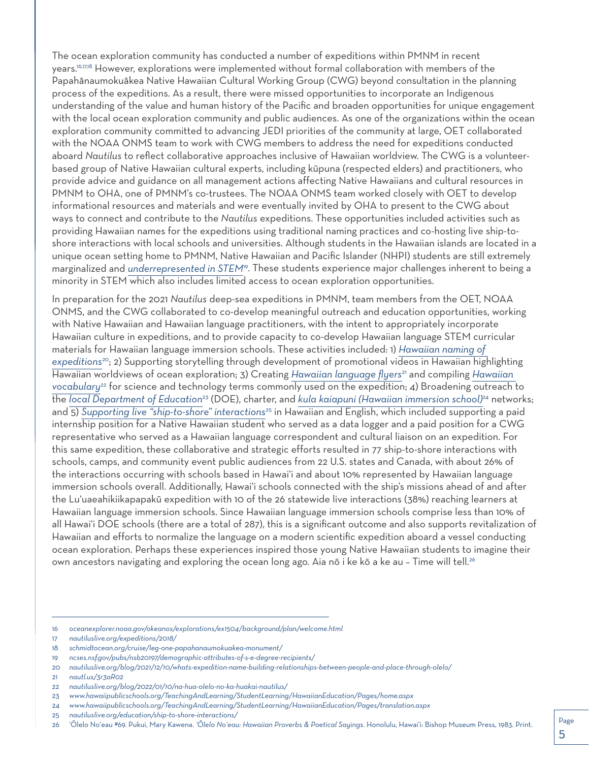The ocean exploration community has conducted a number of expeditions within PMNM in recent years.16,17,18 However, explorations were implemented without formal collaboration with members of the Papahänaumokuäkea Native Hawaiian Cultural Working Group (CWG) beyond consultation in the planning process of the expeditions. As a result, there were missed opportunities to incorporate an Indigenous understanding of the value and human history of the Pacific and broaden opportunities for unique engagement with the local ocean exploration community and public audiences. As one of the organizations within the ocean exploration community committed to advancing JEDI priorities of the community at large, OET collaborated with the NOAA ONMS team to work with CWG members to address the need for expeditions conducted aboard *Nautilus* to reflect collaborative approaches inclusive of Hawaiian worldview. The CWG is a volunteerbased group of Native Hawaiian cultural experts, including küpuna (respected elders) and practitioners, who provide advice and guidance on all management actions affecting Native Hawaiians and cultural resources in PMNM to OHA, one of PMNM's co-trustees. The NOAA ONMS team worked closely with OET to develop informational resources and materials and were eventually invited by OHA to present to the CWG about ways to connect and contribute to the *Nautilus* expeditions. These opportunities included activities such as providing Hawaiian names for the expeditions using traditional naming practices and co-hosting live ship-toshore interactions with local schools and universities. Although students in the Hawaiian islands are located in a unique ocean setting home to PMNM, Native Hawaiian and Pacific Islander (NHPI) students are still extremely marginalized and *[underrepresented in STEM](https://ncses.nsf.gov/pubs/nsb20197/demographic-attributes-of-s-e-degree-recipients)*19. These students experience major challenges inherent to being a minority in STEM which also includes limited access to ocean exploration opportunities.

In preparation for the 2021 *Nautilus* deep-sea expeditions in PMNM, team members from the OET, NOAA ONMS, and the CWG collaborated to co-develop meaningful outreach and education opportunities, working with Native Hawaiian and Hawaiian language practitioners, with the intent to appropriately incorporate Hawaiian culture in expeditions, and to provide capacity to co-develop Hawaiian language STEM curricular materials for Hawaiian language immersion schools. These activities included: 1) *[Hawaiian naming of](https://nautiluslive.org/blog/2021/12/10/whats-expedition-name-building-relationships-between-people-and-place-through-olelo)  [expeditions](https://nautiluslive.org/blog/2021/12/10/whats-expedition-name-building-relationships-between-people-and-place-through-olelo)*20; 2) Supporting storytelling through development of promotional videos in Hawaiian highlighting Hawaiian worldviews of ocean exploration; 3) Creating *[Hawaiian language flyers](http://nautl.us/3r3aR02)*21 and compiling *[Hawaiian](http://nautiluslive.org/blog/2022/01/10/na-hua-olelo-no-ka-huakai-nautilus)  [vocabulary](http://nautiluslive.org/blog/2022/01/10/na-hua-olelo-no-ka-huakai-nautilus)*<sup>22</sup> for science and technology terms commonly used on the expedition; 4) Broadening outreach to the *[local Department of Education](https://www.hawaiipublicschools.org/TeachingAndLearning/StudentLearning/HawaiianEducation/Pages/home.aspx)*23 (DOE), charter, and *[kula kaiapuni \(Hawaiian immersion school\)](https://www.hawaiipublicschools.org/TeachingAndLearning/StudentLearning/HawaiianEducation/Pages/translation.aspx)*24 networks; and 5) *[Supporting live "ship-to-shore" interactions](https://nautiluslive.org/education/ship-to-shore-interactions)*25 in Hawaiian and English, which included supporting a paid internship position for a Native Hawaiian student who served as a data logger and a paid position for a CWG representative who served as a Hawaiian language correspondent and cultural liaison on an expedition. For this same expedition, these collaborative and strategic efforts resulted in 77 ship-to-shore interactions with schools, camps, and community event public audiences from 22 U.S. states and Canada, with about 26% of the interactions occurring with schools based in Hawai'i and about 10% represented by Hawaiian language immersion schools overall. Additionally, Hawai'i schools connected with the ship's missions ahead of and after the Lu'uaeahikiikapapakū expedition with 10 of the 26 statewide live interactions (38%) reaching learners at Hawaiian language immersion schools. Since Hawaiian language immersion schools comprise less than 10% of all Hawai'i DOE schools (there are a total of 287), this is a significant outcome and also supports revitalization of Hawaiian and efforts to normalize the language on a modern scientific expedition aboard a vessel conducting ocean exploration. Perhaps these experiences inspired those young Native Hawaiian students to imagine their own ancestors navigating and exploring the ocean long ago. Aia no i ke ko a ke au - Time will tell.<sup>26</sup>

- 16 *[oceanexplorer.noaa.gov/okeanos/explorations/ex1504/background/plan/welcome.html](http://oceanexplorer.noaa.gov/okeanos/explorations/ex1504/background/plan/welcome.html)*
- 17 *[nautiluslive.org/expeditions/2018/](http://nautiluslive.org/expeditions/2018/)*
- 18 *[schmidtocean.org/cruise/leg-one-papahanaumokuakea-monument/](http://schmidtocean.org/cruise/leg-one-papahanaumokuakea-monument/)*
- 19 *[ncses.nsf.gov/pubs/nsb20197/demographic-attributes-of-s-e-degree-recipients/](http://ncses.nsf.gov/pubs/nsb20197/demographic-attributes-of-s-e-degree-recipients/)*
- 20 *[nautiluslive.org/blog/2021/12/10/whats-expedition-name-building-relationships-between-people-and-place-through-olelo/](http://nautiluslive.org/blog/2021/12/10/whats-expedition-name-building-relationships-between-people-and-place-through-olelo/)*
- 21 *[nautl.us/3r3aR02](http://nautl.us/3r3aR02)*
- 22 *[nautiluslive.org/blog/2022/01/10/na-hua-olelo-no-ka-huakai-nautilus/](https://nautiluslive.org/blog/2022/01/10/na-hua-olelo-no-ka-huakai-nautilus)*
- 23 *[www.hawaiipublicschools.org/TeachingAndLearning/StudentLearning/HawaiianEducation/Pages/home.aspx](http://www.hawaiipublicschools.org/TeachingAndLearning/StudentLearning/HawaiianEducation/Pages/home.aspx)*
- 24 *[www.hawaiipublicschools.org/TeachingAndLearning/StudentLearning/HawaiianEducation/Pages/translation.aspx](http://www.hawaiipublicschools.org/TeachingAndLearning/StudentLearning/HawaiianEducation/Pages/translation.aspx)*
- 25 *[nautiluslive.org/education/ship-to-shore-interactions/](http://nautiluslive.org/education/ship-to-shore-interactions/)*

<sup>26 &</sup>lt;sup>'</sup>Õlelo No'eau #69. Pukui, Mary Kawena. 'Õlelo No'eau: Hawaiian Proverbs & Poetical Sayings. Honolulu, Hawai'i: Bishop Museum Press, 1983. Print.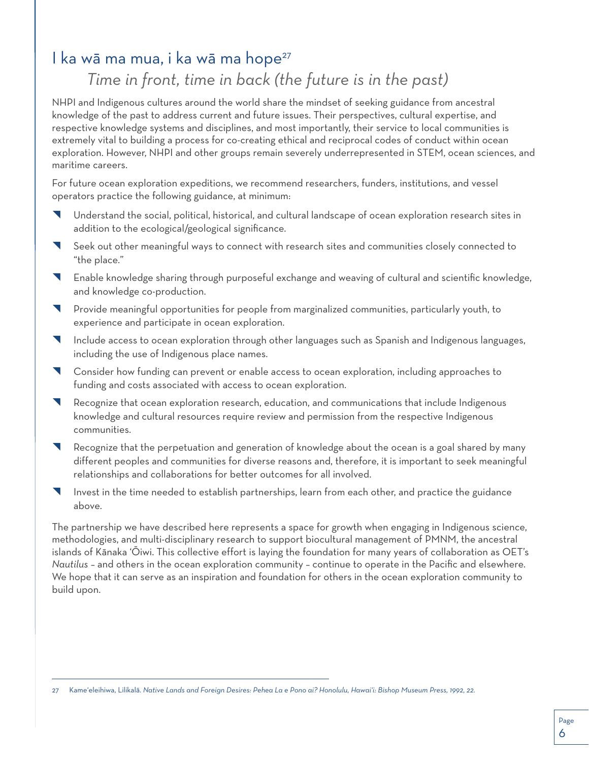### I ka wā ma mua, i ka wā ma hope<sup>27</sup> *Time in front, time in back (the future is in the past)*

NHPI and Indigenous cultures around the world share the mindset of seeking guidance from ancestral knowledge of the past to address current and future issues. Their perspectives, cultural expertise, and respective knowledge systems and disciplines, and most importantly, their service to local communities is extremely vital to building a process for co-creating ethical and reciprocal codes of conduct within ocean exploration. However, NHPI and other groups remain severely underrepresented in STEM, ocean sciences, and maritime careers.

For future ocean exploration expeditions, we recommend researchers, funders, institutions, and vessel operators practice the following guidance, at minimum:

- Understand the social, political, historical, and cultural landscape of ocean exploration research sites in addition to the ecological/geological significance.
- Seek out other meaningful ways to connect with research sites and communities closely connected to "the place."
- **T** Enable knowledge sharing through purposeful exchange and weaving of cultural and scientific knowledge, and knowledge co-production.
- Provide meaningful opportunities for people from marginalized communities, particularly youth, to experience and participate in ocean exploration.
- ^ Include access to ocean exploration through other languages such as Spanish and Indigenous languages, including the use of Indigenous place names.
- **T** Consider how funding can prevent or enable access to ocean exploration, including approaches to funding and costs associated with access to ocean exploration.
- Recognize that ocean exploration research, education, and communications that include Indigenous knowledge and cultural resources require review and permission from the respective Indigenous communities.
- Recognize that the perpetuation and generation of knowledge about the ocean is a goal shared by many different peoples and communities for diverse reasons and, therefore, it is important to seek meaningful relationships and collaborations for better outcomes for all involved.
- Invest in the time needed to establish partnerships, learn from each other, and practice the guidance above.

The partnership we have described here represents a space for growth when engaging in Indigenous science, methodologies, and multi-disciplinary research to support biocultural management of PMNM, the ancestral islands of Känaka 'Öiwi. This collective effort is laying the foundation for many years of collaboration as OET's *Nautilus* – and others in the ocean exploration community – continue to operate in the Pacific and elsewhere. We hope that it can serve as an inspiration and foundation for others in the ocean exploration community to build upon.

Kame'eleihiwa, Lilikalä. Native Lands and Foreign Desires: Pehea La e Pono ai? Honolulu, Hawai'i: Bishop Museum Press, 1992, 22.